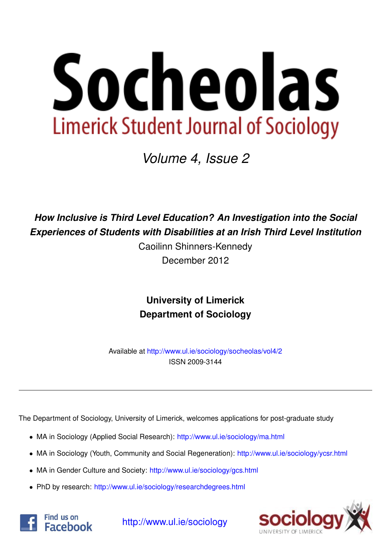

*Volume 4, Issue 2*

*How Inclusive is Third Level Education? An Investigation into the Social Experiences of Students with Disabilities at an Irish Third Level Institution*

> Caoilinn Shinners-Kennedy December 2012

**University of Limerick Department of Sociology**

Available at <http://www.ul.ie/sociology/socheolas/vol4/2> ISSN 2009-3144

The Department of Sociology, University of Limerick, welcomes applications for post-graduate study

- MA in Sociology (Applied Social Research): [http://www.ul.ie/sociology/ma.html](http://www.ul.ie/sociology/ma.html?source=socheolas)
- MA in Sociology (Youth, Community and Social Regeneration): [http://www.ul.ie/sociology/ycsr.html](http://www.ul.ie/sociology/ycsr.html?source=socheolas)
- MA in Gender Culture and Society: [http://www.ul.ie/sociology/gcs.html](http://www.ul.ie/sociology/gcs.html?source=socheolas)
- PhD by research: [http://www.ul.ie/sociology/researchdegrees.html](http://www.ul.ie/sociology/researchdegrees.html?source=socheolas)





[http://www.ul.ie/sociology](http://www.ul.ie/sociology/?source=socheolas)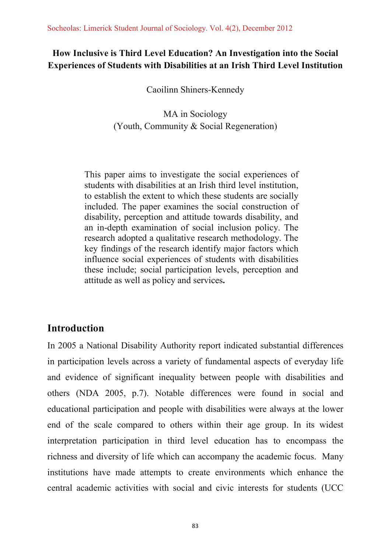# How Inclusive is Third Level Education? An Investigation into the Social **Experiences of Students with Disabilities at an Irish Third Level Institution**

Caoilinn Shiners-Kennedy

MA in Sociology (Youth, Community & Social Regeneration)

This paper aims to investigate the social experiences of students with disabilities at an Irish third level institution. to establish the extent to which these students are socially included. The paper examines the social construction of disability, perception and attitude towards disability, and an in-depth examination of social inclusion policy. The research adopted a qualitative research methodology. The key findings of the research identify major factors which influence social experiences of students with disabilities these include; social participation levels, perception and attitude as well as policy and services.

# **Introduction**

In 2005 a National Disability Authority report indicated substantial differences in participation levels across a variety of fundamental aspects of everyday life and evidence of significant inequality between people with disabilities and others (NDA 2005, p.7). Notable differences were found in social and educational participation and people with disabilities were always at the lower end of the scale compared to others within their age group. In its widest interpretation participation in third level education has to encompass the richness and diversity of life which can accompany the academic focus. Many institutions have made attempts to create environments which enhance the central academic activities with social and civic interests for students (UCC)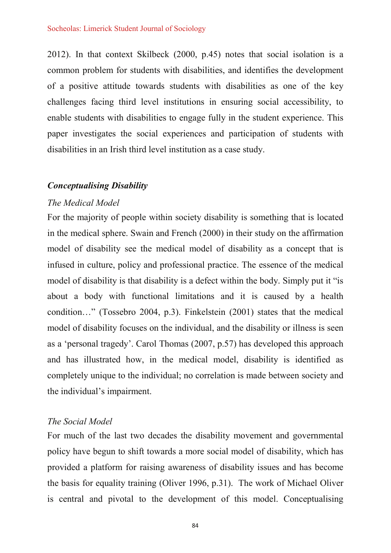2012). In that context Skilbeck (2000, p.45) notes that social isolation is a common problem for students with disabilities, and identifies the development of a positive attitude towards students with disabilities as one of the key challenges facing third level institutions in ensuring social accessibility, to enable students with disabilities to engage fully in the student experience. This paper investigates the social experiences and participation of students with disabilities in an Irish third level institution as a case study.

#### **Conceptualising Disability**

#### The Medical Model

For the majority of people within society disability is something that is located in the medical sphere. Swain and French (2000) in their study on the affirmation model of disability see the medical model of disability as a concept that is infused in culture, policy and professional practice. The essence of the medical model of disability is that disability is a defect within the body. Simply put it "is" about a body with functional limitations and it is caused by a health condition..." (Tossebro 2004, p.3). Finkelstein (2001) states that the medical model of disability focuses on the individual, and the disability or illness is seen as a 'personal tragedy'. Carol Thomas (2007, p.57) has developed this approach and has illustrated how, in the medical model, disability is identified as completely unique to the individual; no correlation is made between society and the individual's impairment.

#### The Social Model

For much of the last two decades the disability movement and governmental policy have begun to shift towards a more social model of disability, which has provided a platform for raising awareness of disability issues and has become the basis for equality training (Oliver 1996, p.31). The work of Michael Oliver is central and pivotal to the development of this model. Conceptualising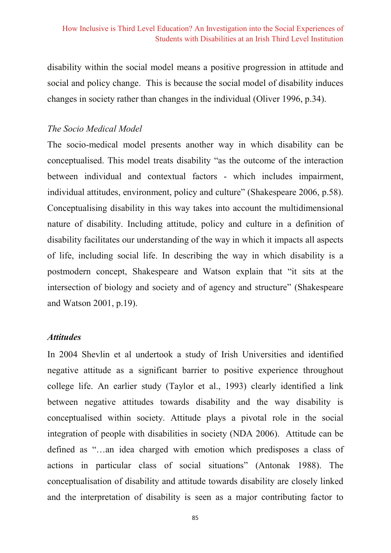disability within the social model means a positive progression in attitude and social and policy change. This is because the social model of disability induces changes in society rather than changes in the individual (Oliver 1996, p.34).

#### The Socio Medical Model

The socio-medical model presents another way in which disability can be conceptualised. This model treats disability "as the outcome of the interaction between individual and contextual factors - which includes impairment, individual attitudes, environment, policy and culture" (Shakespeare 2006, p.58). Conceptualising disability in this way takes into account the multidimensional nature of disability. Including attitude, policy and culture in a definition of disability facilitates our understanding of the way in which it impacts all aspects of life, including social life. In describing the way in which disability is a postmodern concept. Shakespeare and Watson explain that "it sits at the intersection of biology and society and of agency and structure" (Shakespeare and Watson 2001, p.19).

#### **Attitudes**

In 2004 Shevlin et al undertook a study of Irish Universities and identified negative attitude as a significant barrier to positive experience throughout college life. An earlier study (Taylor et al., 1993) clearly identified a link between negative attitudes towards disability and the way disability is conceptualised within society. Attitude plays a pivotal role in the social integration of people with disabilities in society (NDA 2006). Attitude can be defined as "...an idea charged with emotion which predisposes a class of actions in particular class of social situations" (Antonak 1988). The conceptualisation of disability and attitude towards disability are closely linked and the interpretation of disability is seen as a major contributing factor to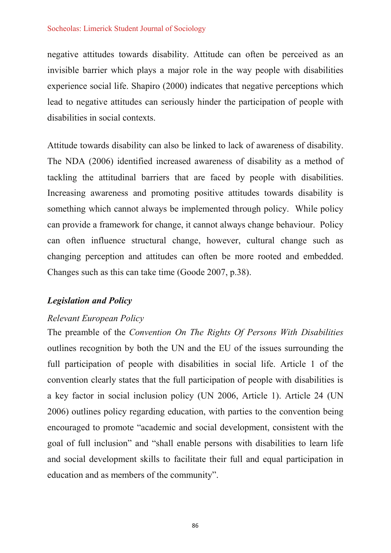#### Socheolas: Limerick Student Journal of Sociology

negative attitudes towards disability. Attitude can often be perceived as an invisible barrier which plays a major role in the way people with disabilities experience social life. Shapiro (2000) indicates that negative perceptions which lead to negative attitudes can seriously hinder the participation of people with disabilities in social contexts.

Attitude towards disability can also be linked to lack of awareness of disability. The NDA (2006) identified increased awareness of disability as a method of tackling the attitudinal barriers that are faced by people with disabilities. Increasing awareness and promoting positive attitudes towards disability is something which cannot always be implemented through policy. While policy can provide a framework for change, it cannot always change behaviour. Policy can often influence structural change, however, cultural change such as changing perception and attitudes can often be more rooted and embedded. Changes such as this can take time (Goode 2007, p.38).

#### **Legislation and Policy**

#### Relevant European Policy

The preamble of the Convention On The Rights Of Persons With Disabilities outlines recognition by both the UN and the EU of the issues surrounding the full participation of people with disabilities in social life. Article 1 of the convention clearly states that the full participation of people with disabilities is a key factor in social inclusion policy (UN 2006, Article 1). Article 24 (UN 2006) outlines policy regarding education, with parties to the convention being encouraged to promote "academic and social development, consistent with the goal of full inclusion" and "shall enable persons with disabilities to learn life and social development skills to facilitate their full and equal participation in education and as members of the community".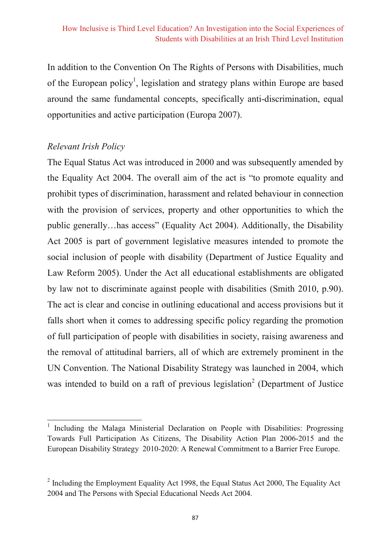In addition to the Convention On The Rights of Persons with Disabilities, much of the European policy<sup>1</sup>, legislation and strategy plans within Europe are based around the same fundamental concepts, specifically anti-discrimination, equal opportunities and active participation (Europa 2007).

### Relevant Irish Policy

The Equal Status Act was introduced in 2000 and was subsequently amended by the Equality Act 2004. The overall aim of the act is "to promote equality and prohibit types of discrimination, harassment and related behaviour in connection with the provision of services, property and other opportunities to which the public generally...has access" (Equality Act 2004). Additionally, the Disability Act 2005 is part of government legislative measures intended to promote the social inclusion of people with disability (Department of Justice Equality and Law Reform 2005). Under the Act all educational establishments are obligated by law not to discriminate against people with disabilities (Smith 2010, p.90). The act is clear and concise in outlining educational and access provisions but it falls short when it comes to addressing specific policy regarding the promotion of full participation of people with disabilities in society, raising awareness and the removal of attitudinal barriers, all of which are extremely prominent in the UN Convention. The National Disability Strategy was launched in 2004, which was intended to build on a raft of previous legislation<sup>2</sup> (Department of Justice

Including the Malaga Ministerial Declaration on People with Disabilities: Progressing Towards Full Participation As Citizens, The Disability Action Plan 2006-2015 and the European Disability Strategy 2010-2020: A Renewal Commitment to a Barrier Free Europe.

 $\frac{2}{3}$  Including the Employment Equality Act 1998, the Equal Status Act 2000, The Equality Act 2004 and The Persons with Special Educational Needs Act 2004.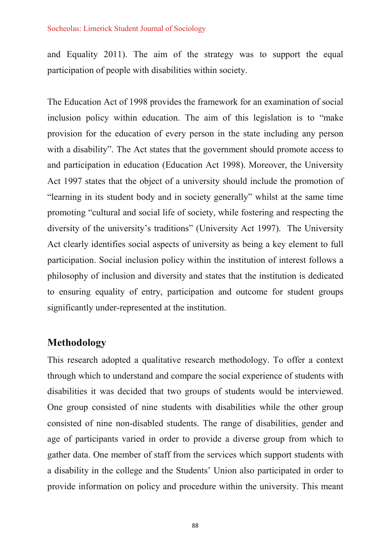#### Socheolas: Limerick Student Journal of Sociology

and Equality 2011). The aim of the strategy was to support the equal participation of people with disabilities within society.

The Education Act of 1998 provides the framework for an examination of social inclusion policy within education. The aim of this legislation is to "make" provision for the education of every person in the state including any person with a disability". The Act states that the government should promote access to and participation in education (Education Act 1998). Moreover, the University Act 1997 states that the object of a university should include the promotion of "learning in its student body and in society generally" whilst at the same time promoting "cultural and social life of society, while fostering and respecting the diversity of the university's traditions" (University Act 1997). The University Act clearly identifies social aspects of university as being a key element to full participation. Social inclusion policy within the institution of interest follows a philosophy of inclusion and diversity and states that the institution is dedicated to ensuring equality of entry, participation and outcome for student groups significantly under-represented at the institution.

## **Methodology**

This research adopted a qualitative research methodology. To offer a context through which to understand and compare the social experience of students with disabilities it was decided that two groups of students would be interviewed. One group consisted of nine students with disabilities while the other group consisted of nine non-disabled students. The range of disabilities, gender and age of participants varied in order to provide a diverse group from which to gather data. One member of staff from the services which support students with a disability in the college and the Students' Union also participated in order to provide information on policy and procedure within the university. This meant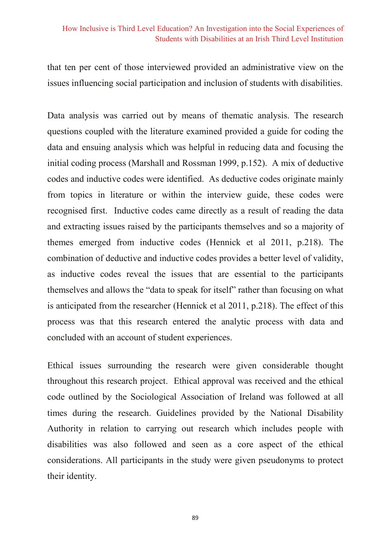that ten per cent of those interviewed provided an administrative view on the issues influencing social participation and inclusion of students with disabilities.

Data analysis was carried out by means of thematic analysis. The research questions coupled with the literature examined provided a guide for coding the data and ensuing analysis which was helpful in reducing data and focusing the initial coding process (Marshall and Rossman 1999, p.152). A mix of deductive codes and inductive codes were identified. As deductive codes originate mainly from topics in literature or within the interview guide, these codes were recognised first. Inductive codes came directly as a result of reading the data and extracting issues raised by the participants themselves and so a majority of themes emerged from inductive codes (Hennick et al 2011, p.218). The combination of deductive and inductive codes provides a better level of validity, as inductive codes reveal the issues that are essential to the participants themselves and allows the "data to speak for itself" rather than focusing on what is anticipated from the researcher (Hennick et al 2011, p.218). The effect of this process was that this research entered the analytic process with data and concluded with an account of student experiences.

Ethical issues surrounding the research were given considerable thought throughout this research project. Ethical approval was received and the ethical code outlined by the Sociological Association of Ireland was followed at all times during the research. Guidelines provided by the National Disability Authority in relation to carrying out research which includes people with disabilities was also followed and seen as a core aspect of the ethical considerations. All participants in the study were given pseudonyms to protect their identity.

89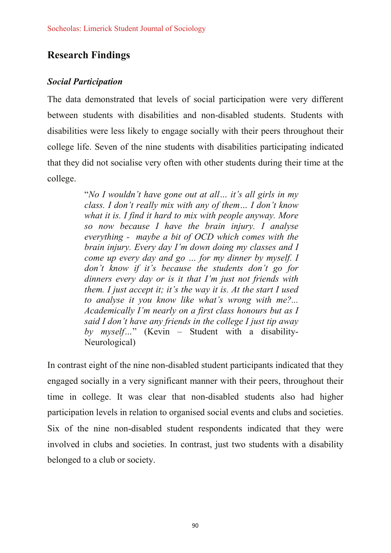# **Research Findings**

### **Social Participation**

The data demonstrated that levels of social participation were very different between students with disabilities and non-disabled students. Students with disabilities were less likely to engage socially with their peers throughout their college life. Seven of the nine students with disabilities participating indicated that they did not socialise very often with other students during their time at the college.

> "No I wouldn't have gone out at all... it's all girls in my class. I don't really mix with any of them... I don't know what it is. I find it hard to mix with people anyway. More so now because I have the brain injury. I analyse everything - maybe a bit of OCD which comes with the brain injury. Every day I'm down doing my classes and I come up every day and go ... for my dinner by myself. I don't know if it's because the students don't go for dinners every day or is it that I'm just not friends with them. I just accept it; it's the way it is. At the start I used to analyse it you know like what's wrong with me?... Academically I'm nearly on a first class honours but as I said I don't have any friends in the college I just tip away by myself..." (Kevin – Student with a disability-Neurological)

In contrast eight of the nine non-disabled student participants indicated that they engaged socially in a very significant manner with their peers, throughout their time in college. It was clear that non-disabled students also had higher participation levels in relation to organised social events and clubs and societies. Six of the nine non-disabled student respondents indicated that they were involved in clubs and societies. In contrast, just two students with a disability belonged to a club or society.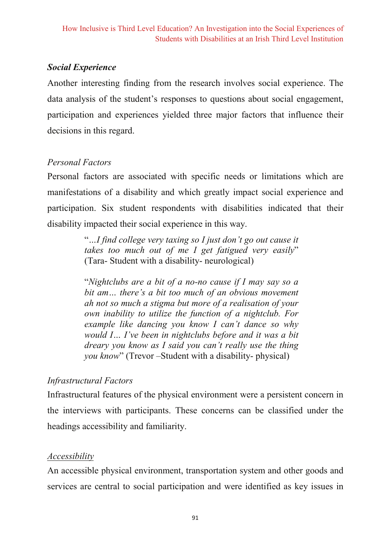## **Social Experience**

Another interesting finding from the research involves social experience. The data analysis of the student's responses to questions about social engagement, participation and experiences yielded three major factors that influence their decisions in this regard.

## **Personal Factors**

Personal factors are associated with specific needs or limitations which are manifestations of a disability and which greatly impact social experience and participation. Six student respondents with disabilities indicated that their disability impacted their social experience in this way.

> "...I find college very taxing so I just don't go out cause it takes too much out of me I get fatigued very easily" (Tara-Student with a disability-neurological)

> "Nightclubs are a bit of a no-no cause if I may say so a bit am... there's a bit too much of an obvious movement ah not so much a stigma but more of a realisation of your own inability to utilize the function of a nightclub. For example like dancing you know I can't dance so why would I... I've been in nightclubs before and it was a bit dreary you know as I said you can't really use the thing *vou know*" (Trevor – Student with a disability- physical)

# **Infrastructural Factors**

Infrastructural features of the physical environment were a persistent concern in the interviews with participants. These concerns can be classified under the headings accessibility and familiarity.

### Accessibility

An accessible physical environment, transportation system and other goods and services are central to social participation and were identified as key issues in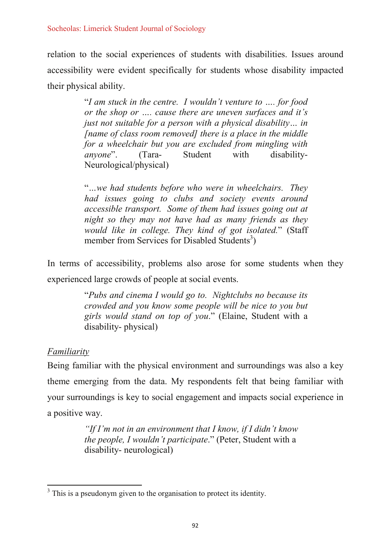relation to the social experiences of students with disabilities. Issues around accessibility were evident specifically for students whose disability impacted their physical ability.

> "I am stuck in the centre. I wouldn't venture to .... for food or the shop or ..., cause there are uneven surfaces and it's just not suitable for a person with a physical disability... in Iname of class room removedl there is a place in the middle for a wheelchair but you are excluded from mingling with anvone".  $T<sub>ara-</sub>$ Student with disability-Neurological/physical)

> "...we had students before who were in wheelchairs. They had issues going to clubs and society events around accessible transport. Some of them had issues going out at night so they may not have had as many friends as they would like in college. They kind of got isolated." (Staff member from Services for Disabled Students<sup>3</sup>)

In terms of accessibility, problems also arose for some students when they experienced large crowds of people at social events.

> "Pubs and cinema I would go to. Nightclubs no because its crowded and you know some people will be nice to you but girls would stand on top of you." (Elaine, Student with a disability-physical)

# **Familiarity**

Being familiar with the physical environment and surroundings was also a key theme emerging from the data. My respondents felt that being familiar with your surroundings is key to social engagement and impacts social experience in a positive way.

> "If I'm not in an environment that I know, if I didn't know *the people, I wouldn't participate.*" (Peter, Student with a disability-neurological)

 $3$  This is a pseudonym given to the organisation to protect its identity.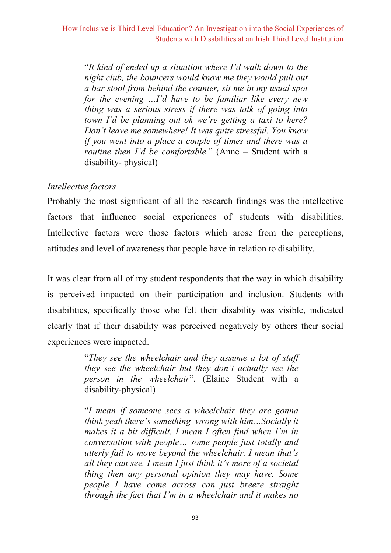"It kind of ended up a situation where I'd walk down to the night club, the bouncers would know me they would pull out a bar stool from behind the counter, sit me in my usual spot for the evening ...I'd have to be familiar like every new thing was a serious stress if there was talk of going into town I'd be planning out ok we're getting a taxi to here? Don't leave me somewhere! It was quite stressful. You know if you went into a place a couple of times and there was a routine then I'd be comfortable." (Anne - Student with a disability-physical)

### Intellective factors

Probably the most significant of all the research findings was the intellective factors that influence social experiences of students with disabilities. Intellective factors were those factors which arose from the perceptions, attitudes and level of awareness that people have in relation to disability.

It was clear from all of my student respondents that the way in which disability is perceived impacted on their participation and inclusion. Students with disabilities, specifically those who felt their disability was visible, indicated clearly that if their disability was perceived negatively by others their social experiences were impacted.

> "They see the wheelchair and they assume a lot of stuff they see the wheelchair but they don't actually see the person in the wheelchair". (Elaine Student with a disability-physical)

> "I mean if someone sees a wheelchair they are gonna think yeah there's something wrong with him...Socially it makes it a bit difficult. I mean I often find when I'm in conversation with people... some people just totally and utterly fail to move beyond the wheelchair. I mean that's all they can see. I mean I just think it's more of a societal thing then any personal opinion they may have. Some people I have come across can just breeze straight through the fact that I'm in a wheelchair and it makes no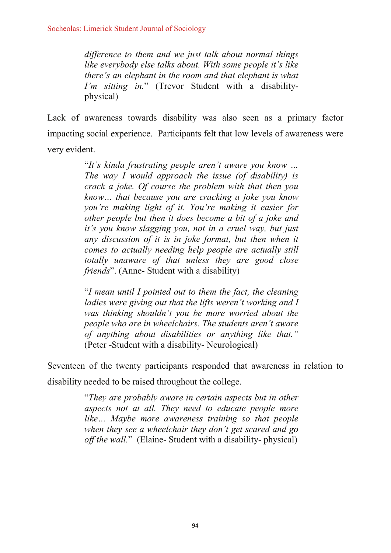difference to them and we just talk about normal things like everybody else talks about. With some people it's like there's an elephant in the room and that elephant is what I'm sitting in." (Trevor Student with a disabilityphysical)

Lack of awareness towards disability was also seen as a primary factor impacting social experience. Participants felt that low levels of awareness were very evident.

> "It's kinda frustrating people aren't aware you know ... The way I would approach the issue (of disability) is crack a joke. Of course the problem with that then you know... that because you are cracking a joke you know you're making light of it. You're making it easier for other people but then it does become a bit of a joke and it's you know slagging you, not in a cruel way, but just any discussion of it is in joke format, but then when it comes to actually needing help people are actually still totally unaware of that unless they are good close friends". (Anne- Student with a disability)

> "I mean until I pointed out to them the fact, the cleaning ladies were giving out that the lifts weren't working and I was thinking shouldn't you be more worried about the people who are in wheelchairs. The students aren't aware of anything about disabilities or anything like that." (Peter -Student with a disability- Neurological)

Seventeen of the twenty participants responded that awareness in relation to disability needed to be raised throughout the college.

> "They are probably aware in certain aspects but in other aspects not at all. They need to educate people more like... Maybe more awareness training so that people when they see a wheelchair they don't get scared and go off the wall." (Elaine-Student with a disability-physical)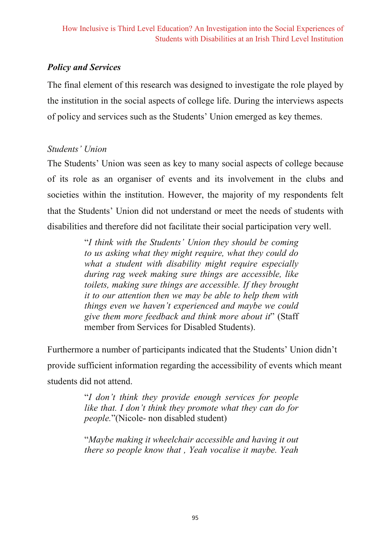## **Policy and Services**

The final element of this research was designed to investigate the role played by the institution in the social aspects of college life. During the interviews aspects of policy and services such as the Students' Union emerged as key themes.

### Students' Union

The Students' Union was seen as key to many social aspects of college because of its role as an organiser of events and its involvement in the clubs and societies within the institution. However, the majority of my respondents felt that the Students' Union did not understand or meet the needs of students with disabilities and therefore did not facilitate their social participation very well.

> "I think with the Students' Union they should be coming to us asking what they might require, what they could do what a student with disability might require especially during rag week making sure things are accessible, like toilets, making sure things are accessible. If they brought it to our attention then we may be able to help them with things even we haven't experienced and maybe we could give them more feedback and think more about it" (Staff member from Services for Disabled Students).

Furthermore a number of participants indicated that the Students' Union didn't provide sufficient information regarding the accessibility of events which meant students did not attend.

> "I don't think they provide enough services for people like that. I don't think they promote what they can do for *people.*"(Nicole- non disabled student)

> "Maybe making it wheelchair accessible and having it out there so people know that, Yeah vocalise it maybe. Yeah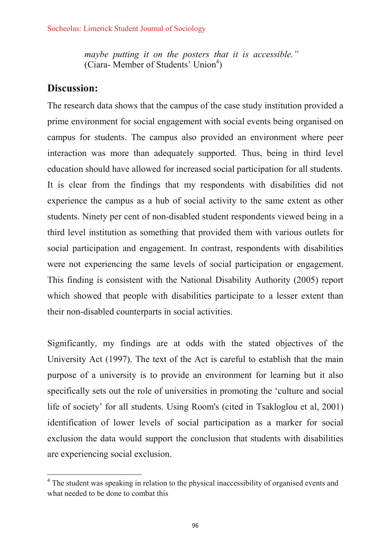maybe putting it on the posters that it is accessible." (Ciara-Member of Students' Union<sup>4</sup>)

## **Discussion:**

The research data shows that the campus of the case study institution provided a prime environment for social engagement with social events being organised on campus for students. The campus also provided an environment where peer interaction was more than adequately supported. Thus, being in third level education should have allowed for increased social participation for all students. It is clear from the findings that my respondents with disabilities did not experience the campus as a hub of social activity to the same extent as other students. Ninety per cent of non-disabled student respondents viewed being in a third level institution as something that provided them with various outlets for social participation and engagement. In contrast, respondents with disabilities were not experiencing the same levels of social participation or engagement. This finding is consistent with the National Disability Authority (2005) report which showed that people with disabilities participate to a lesser extent than their non-disabled counterparts in social activities.

Significantly, my findings are at odds with the stated objectives of the University Act (1997). The text of the Act is careful to establish that the main purpose of a university is to provide an environment for learning but it also specifically sets out the role of universities in promoting the 'culture and social life of society' for all students. Using Room's (cited in Tsakloglou et al. 2001) identification of lower levels of social participation as a marker for social exclusion the data would support the conclusion that students with disabilities are experiencing social exclusion.

<sup>&</sup>lt;sup>4</sup> The student was speaking in relation to the physical inaccessibility of organised events and what needed to be done to combat this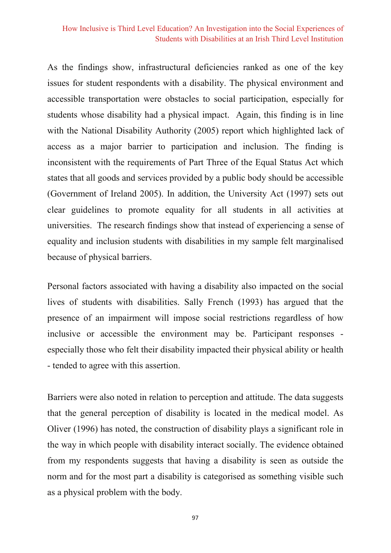#### How Inclusive is Third Level Education? An Investigation into the Social Experiences of Students with Disabilities at an Irish Third Level Institution

As the findings show, infrastructural deficiencies ranked as one of the key issues for student respondents with a disability. The physical environment and accessible transportation were obstacles to social participation, especially for students whose disability had a physical impact. Again, this finding is in line with the National Disability Authority (2005) report which highlighted lack of access as a major barrier to participation and inclusion. The finding is inconsistent with the requirements of Part Three of the Equal Status Act which states that all goods and services provided by a public body should be accessible (Government of Ireland 2005). In addition, the University Act (1997) sets out clear guidelines to promote equality for all students in all activities at universities. The research findings show that instead of experiencing a sense of equality and inclusion students with disabilities in my sample felt marginalised because of physical barriers.

Personal factors associated with having a disability also impacted on the social lives of students with disabilities. Sally French (1993) has argued that the presence of an impairment will impose social restrictions regardless of how inclusive or accessible the environment may be. Participant responses especially those who felt their disability impacted their physical ability or health - tended to agree with this assertion.

Barriers were also noted in relation to perception and attitude. The data suggests that the general perception of disability is located in the medical model. As Oliver (1996) has noted, the construction of disability plays a significant role in the way in which people with disability interact socially. The evidence obtained from my respondents suggests that having a disability is seen as outside the norm and for the most part a disability is categorised as something visible such as a physical problem with the body.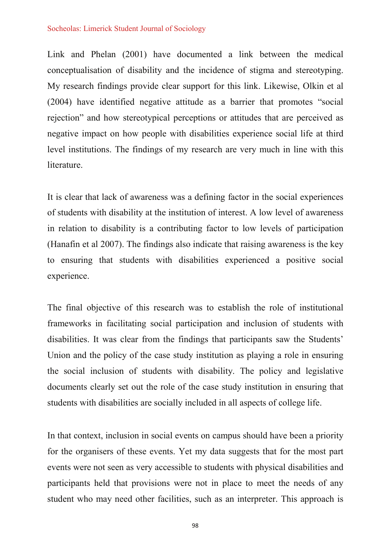#### Socheolas: Limerick Student Journal of Sociology

Link and Phelan (2001) have documented a link between the medical conceptualization of disability and the incidence of stigma and stereotyping. My research findings provide clear support for this link. Likewise, Olkin et al (2004) have identified negative attitude as a barrier that promotes "social rejection" and how stereotypical perceptions or attitudes that are perceived as negative impact on how people with disabilities experience social life at third level institutions. The findings of my research are very much in line with this literature.

It is clear that lack of awareness was a defining factor in the social experiences of students with disability at the institution of interest. A low level of awareness in relation to disability is a contributing factor to low levels of participation (Hanafin et al 2007). The findings also indicate that raising awareness is the key to ensuring that students with disabilities experienced a positive social experience.

The final objective of this research was to establish the role of institutional frameworks in facilitating social participation and inclusion of students with disabilities. It was clear from the findings that participants saw the Students' Union and the policy of the case study institution as playing a role in ensuring the social inclusion of students with disability. The policy and legislative documents clearly set out the role of the case study institution in ensuring that students with disabilities are socially included in all aspects of college life.

In that context, inclusion in social events on campus should have been a priority for the organisers of these events. Yet my data suggests that for the most part events were not seen as very accessible to students with physical disabilities and participants held that provisions were not in place to meet the needs of any student who may need other facilities, such as an interpreter. This approach is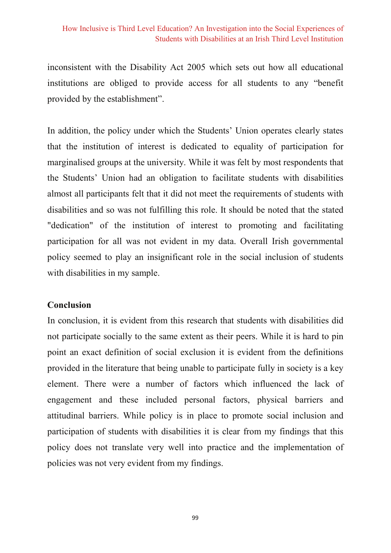inconsistent with the Disability Act 2005 which sets out how all educational institutions are obliged to provide access for all students to any "benefit" provided by the establishment".

In addition, the policy under which the Students' Union operates clearly states that the institution of interest is dedicated to equality of participation for marginalised groups at the university. While it was felt by most respondents that the Students' Union had an obligation to facilitate students with disabilities almost all participants felt that it did not meet the requirements of students with disabilities and so was not fulfilling this role. It should be noted that the stated "dedication" of the institution of interest to promoting and facilitating participation for all was not evident in my data. Overall Irish governmental policy seemed to play an insignificant role in the social inclusion of students with disabilities in my sample.

#### Conclusion

In conclusion, it is evident from this research that students with disabilities did not participate socially to the same extent as their peers. While it is hard to pin point an exact definition of social exclusion it is evident from the definitions provided in the literature that being unable to participate fully in society is a key element. There were a number of factors which influenced the lack of engagement and these included personal factors, physical barriers and attitudinal barriers. While policy is in place to promote social inclusion and participation of students with disabilities it is clear from my findings that this policy does not translate very well into practice and the implementation of policies was not very evident from my findings.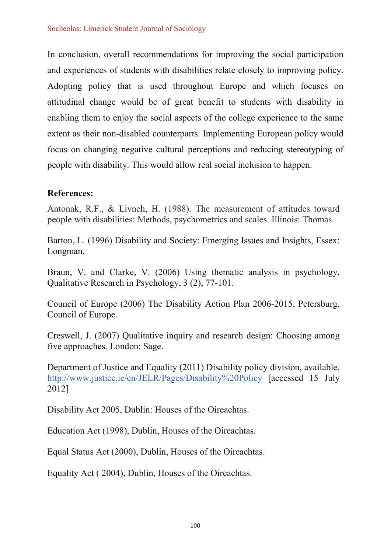In conclusion, overall recommendations for improving the social participation and experiences of students with disabilities relate closely to improving policy. Adopting policy that is used throughout Europe and which focuses on attitudinal change would be of great benefit to students with disability in enabling them to enjoy the social aspects of the college experience to the same extent as their non-disabled counterparts. Implementing European policy would focus on changing negative cultural perceptions and reducing stereotyping of people with disability. This would allow real social inclusion to happen.

#### **References:**

Antonak, R.F., & Livneh, H. (1988). The measurement of attitudes toward people with disabilities: Methods, psychometrics and scales. Illinois: Thomas.

Barton, L. (1996) Disability and Society: Emerging Issues and Insights, Essex: Longman.

Braun, V. and Clarke, V. (2006) Using the matic analysis in psychology, Qualitative Research in Psychology, 3 (2), 77-101.

Council of Europe (2006) The Disability Action Plan 2006-2015, Petersburg, Council of Europe.

Creswell, J. (2007) Oualitative inquiry and research design: Choosing among five approaches. London: Sage.

Department of Justice and Equality (2011) Disability policy division, available, http://www.justice.ie/en/JELR/Pages/Disability%20Policy [accessed 15 July 2012]

Disability Act 2005, Dublin: Houses of the Oireachtas.

Education Act (1998), Dublin, Houses of the Oireachtas.

Equal Status Act (2000), Dublin, Houses of the Oireachtas.

Equality Act (2004), Dublin, Houses of the Oireachtas.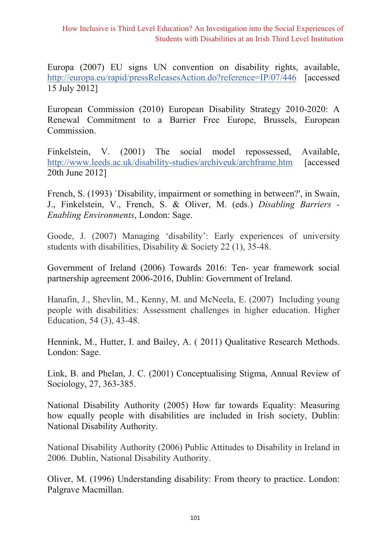How Inclusive is Third Level Education? An Investigation into the Social Experiences of Students with Disabilities at an Irish Third Level Institution

Europa (2007) EU signs UN convention on disability rights, available, http://europa.eu/rapid/pressReleasesAction.do?reference=IP/07/446 [accessed] 15 July 2012]

European Commission (2010) European Disability Strategy 2010-2020: A Renewal Commitment to a Barrier Free Europe, Brussels, European Commission.

The social model Available. Finkelstein, V.  $(2001)$ repossessed. http://www.leeds.ac.uk/disability-studies/archiveuk/archframe.htm **Taccessed** 20th June 2012]

French, S. (1993) 'Disability, impairment or something in between?', in Swain, J., Finkelstein, V., French, S. & Oliver, M. (eds.) Disabling Barriers -Enabling Environments, London: Sage.

Goode, J. (2007) Managing 'disability': Early experiences of university students with disabilities, Disability & Society 22 (1), 35-48.

Government of Ireland (2006) Towards 2016: Ten- year framework social partnership agreement 2006-2016, Dublin: Government of Ireland.

Hanafin, J., Shevlin, M., Kenny, M. and McNeela, E. (2007) Including young people with disabilities: Assessment challenges in higher education. Higher Education, 54 (3), 43-48.

Hennink, M., Hutter, I. and Bailey, A. (2011) Qualitative Research Methods. London: Sage.

Link, B. and Phelan, J. C. (2001) Conceptualising Stigma, Annual Review of Sociology, 27, 363-385.

National Disability Authority (2005) How far towards Equality: Measuring how equally people with disabilities are included in Irish society, Dublin: National Disability Authority.

National Disability Authority (2006) Public Attitudes to Disability in Ireland in 2006. Dublin, National Disability Authority.

Oliver, M. (1996) Understanding disability: From theory to practice. London: Palgrave Macmillan.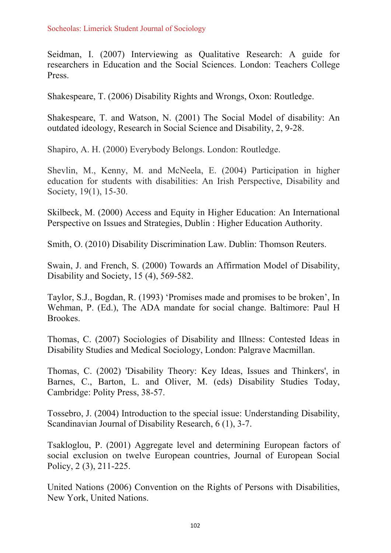Seidman, I. (2007) Interviewing as Qualitative Research: A guide for researchers in Education and the Social Sciences. London: Teachers College Press.

Shakespeare, T. (2006) Disability Rights and Wrongs, Oxon: Routledge.

Shakespeare, T. and Watson, N. (2001) The Social Model of disability: An outdated ideology, Research in Social Science and Disability, 2, 9-28.

Shapiro, A. H. (2000) Everybody Belongs. London: Routledge.

Shevlin, M., Kenny, M. and McNeela, E. (2004) Participation in higher education for students with disabilities: An Irish Perspective, Disability and Society, 19(1), 15-30.

Skilbeck, M. (2000) Access and Equity in Higher Education: An International Perspective on Issues and Strategies, Dublin: Higher Education Authority.

Smith, O. (2010) Disability Discrimination Law. Dublin: Thomson Reuters.

Swain, J. and French, S. (2000) Towards an Affirmation Model of Disability, Disability and Society, 15 (4), 569-582.

Taylor, S.J., Bogdan, R. (1993) 'Promises made and promises to be broken', In Wehman, P. (Ed.), The ADA mandate for social change. Baltimore: Paul H Brookes.

Thomas, C. (2007) Sociologies of Disability and Illness: Contested Ideas in Disability Studies and Medical Sociology, London: Palgrave Macmillan.

Thomas, C. (2002) 'Disability Theory: Key Ideas, Issues and Thinkers', in Barnes, C., Barton, L. and Oliver, M. (eds) Disability Studies Today, Cambridge: Polity Press, 38-57.

Tossebro, J. (2004) Introduction to the special issue: Understanding Disability. Scandinavian Journal of Disability Research, 6 (1), 3-7.

Tsakloglou, P. (2001) Aggregate level and determining European factors of social exclusion on twelve European countries, Journal of European Social Policy, 2 (3), 211-225.

United Nations (2006) Convention on the Rights of Persons with Disabilities, New York, United Nations.